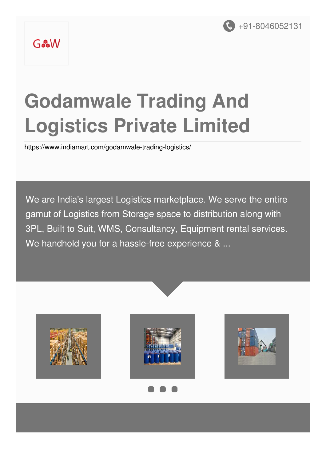

### GoodW

# **Godamwale Trading And Logistics Private Limited**

<https://www.indiamart.com/godamwale-trading-logistics/>

We are India's largest Logistics marketplace. We serve the entire gamut of Logistics from Storage space to distribution along with 3PL, Built to Suit, WMS, Consultancy, Equipment rental services. We handhold you for a hassle-free experience & ...





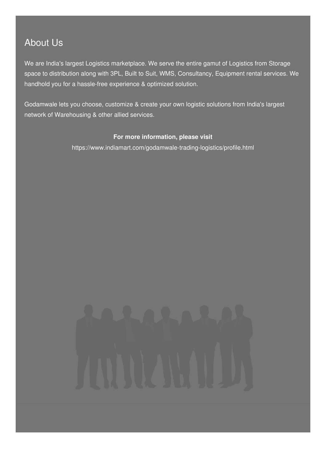#### About Us

We are India's largest Logistics marketplace. We serve the entire gamut of Logistics from Storage space to distribution along with 3PL, Built to Suit, WMS, Consultancy, Equipment rental services. We handhold you for a hassle-free experience & optimized solution.

Godamwale lets you choose, customize & create your own logistic solutions from India's largest network of Warehousing & other allied services.

#### **For more information, please visit**

<https://www.indiamart.com/godamwale-trading-logistics/profile.html>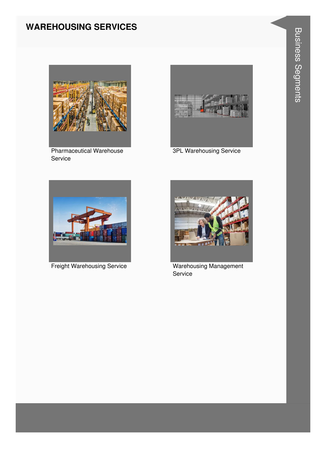#### **WAREHOUSING SERVICES**



**Pharmaceutical Warehouse** Service



3PL Warehousing Service



**Freight Warehousing Service** 



**Warehousing Management** Service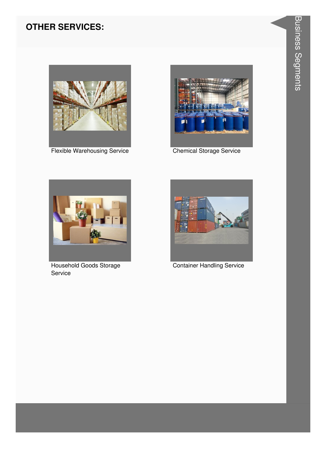#### **OTHER SERVICES:**



**Flexible Warehousing Service** 



**Chemical Storage Service** 



Household Goods Storage Service



**Container Handling Service**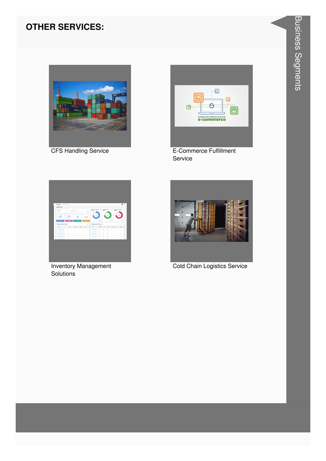#### **OTHER SERVICES:**



**CFS Handling Service** 



E-Commerce Fulfillment Service



**Inventory Management** Solutions



**Cold Chain Logistics Service**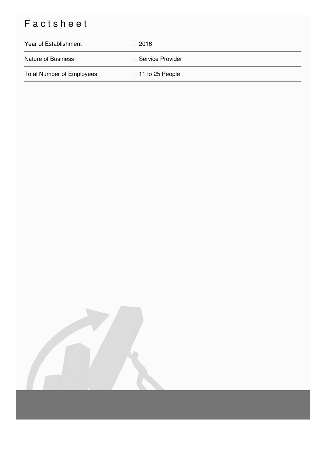## Factsheet

| Year of Establishment            | $\div$ 2016         |
|----------------------------------|---------------------|
| <b>Nature of Business</b>        | : Service Provider  |
| <b>Total Number of Employees</b> | $: 11$ to 25 People |